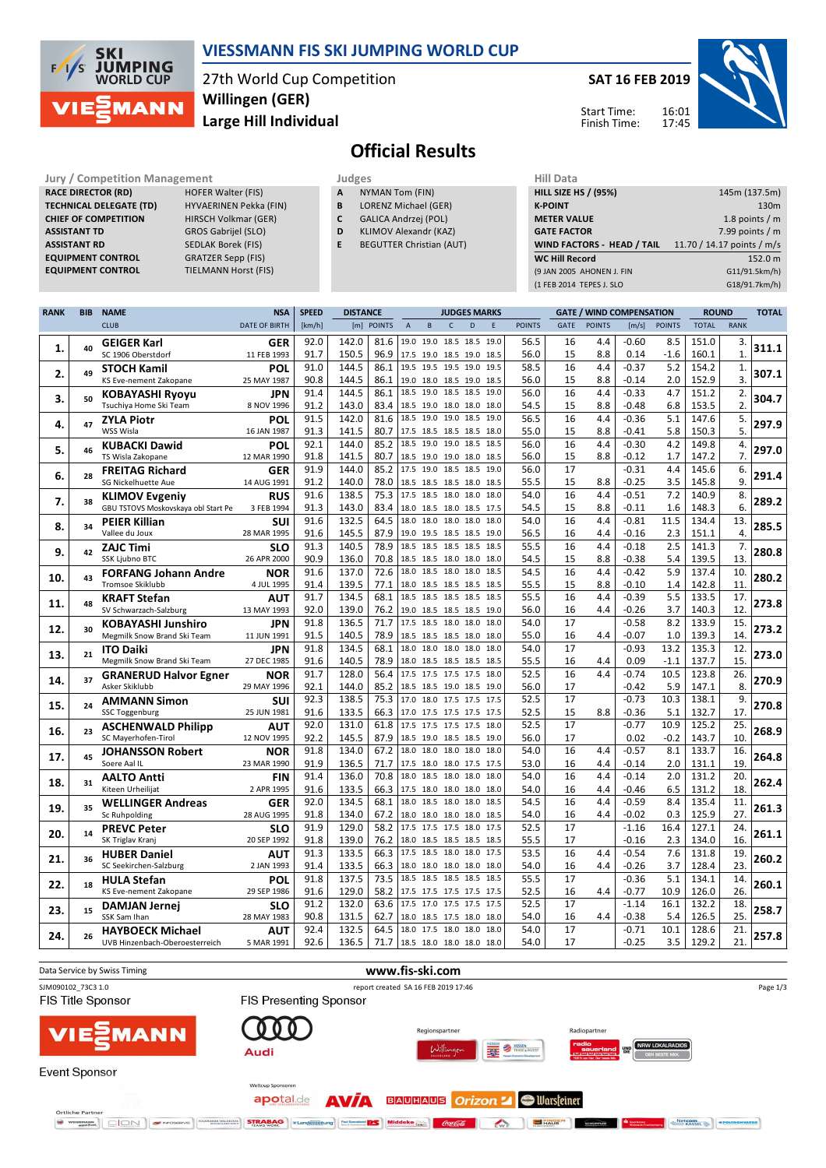

## **VIESSMANN FIS SKI JUMPING WORLD CUP**

27th World Cup Competition **Large Hill Individual Willingen (GER)**

**SAT 16 FEB 2019**

Start Time: Finish Time: 16:01 17:45



# **Official Results**

**Jury / Competition Management Judges Hill Data**<br> **RACE DIRECTOR (RD)** HOFER Walter (FIS) **A** NYMAN Tom (FIN) **HILL SIZE HILL SIZE H RACE DIRECTOR (RD) TECHNICAL DELEGATE (TD)** HYVAERINEN Pekka (FIN) **CHIEF OF COMPETITION** HIRSCH Volkmar (GER) **ASSISTANT TD** GROS Gabrijel (SLO) **ASSISTANT RD** SEDLAK Borek (FIS)<br>**EQUIPMENT CONTROL** GRATZER Sepp (FIS) **EQUIPMENT CONTROL**<br>**EQUIPMENT CONTROL** 

**TIELMANN Horst (FIS)** 

- **A** NYMAN Tom (FIN)
- **B** LORENZ Michael (GER)
- **C** GALICA Andrzej (POL)
- **D** KLIMOV Alexandr (KAZ)
- **E** BEGUTTER Christian (AUT)

| <b>HILL SIZE HS / (95%)</b>       | 145m (137.5m)              |
|-----------------------------------|----------------------------|
| <b>K-POINT</b>                    | 130 <sub>m</sub>           |
| <b>METER VALUE</b>                | 1.8 points $/m$            |
| <b>GATE FACTOR</b>                | 7.99 points $/m$           |
| <b>WIND FACTORS - HEAD / TAIL</b> | 11.70 / 14.17 points / m/s |
|                                   |                            |
| <b>WC Hill Record</b>             | 152.0 m                    |
| (9 JAN 2005 AHONEN J. FIN         | G11/91.5km/h)              |
| (1 FEB 2014 TEPES J. SLO          | G18/91.7km/h)              |

| <b>RANK</b> | <b>BIB</b> | <b>NAME</b>                             | <b>NSA</b>                | <b>SPEED</b> | <b>DISTANCE</b> |              | <b>JUDGES MARKS</b>      |      |                          | <b>GATE / WIND COMPENSATION</b> |             |               |             | <b>ROUND</b>  |                 | <b>TOTAL</b>  |                |                  |       |
|-------------|------------|-----------------------------------------|---------------------------|--------------|-----------------|--------------|--------------------------|------|--------------------------|---------------------------------|-------------|---------------|-------------|---------------|-----------------|---------------|----------------|------------------|-------|
|             |            | <b>CLUB</b>                             | <b>DATE OF BIRTH</b>      | [km/h]       |                 | [m] POINTS   | $\overline{A}$           | B    | $\mathsf{C}$             | D                               | $\mathsf E$ | <b>POINTS</b> | <b>GATE</b> | <b>POINTS</b> | [m/s]           | <b>POINTS</b> | <b>TOTAL</b>   | <b>RANK</b>      |       |
|             |            | <b>GEIGER Karl</b>                      | <b>GER</b>                | 92.0         | 142.0           | 81.6         | 19.0 19.0 18.5 18.5 19.0 |      |                          |                                 |             | 56.5          | 16          | 4.4           | $-0.60$         | 8.5           | 151.0          | 3.               |       |
| 1.          | 40         | SC 1906 Oberstdorf                      | 11 FEB 1993               | 91.7         | 150.5           | 96.9         | 17.5 19.0 18.5 19.0 18.5 |      |                          |                                 |             | 56.0          | 15          | 8.8           | 0.14            | $-1.6$        | 160.1          | $\mathbf{1}$     | 311.1 |
|             |            | <b>STOCH Kamil</b>                      | <b>POL</b>                | 91.0         | 144.5           | 86.1         | 19.5 19.5 19.5 19.0 19.5 |      |                          |                                 |             | 58.5          | 16          | 4.4           | $-0.37$         | 5.2           | 154.2          | 1.               |       |
| 2.          | 49         | KS Eve-nement Zakopane                  | 25 MAY 1987               | 90.8         | 144.5           | 86.1         |                          |      | 19.0 18.0 18.5 19.0 18.5 |                                 |             | 56.0          | 15          | 8.8           | -0.14           | 2.0           | 152.9          | 3.               | 307.1 |
|             |            | <b>KOBAYASHI Ryoyu</b>                  | JPN                       | 91.4         | 144.5           | 86.1         | 18.5 19.0 18.5 18.5 19.0 |      |                          |                                 |             | 56.0          | 16          | 4.4           | $-0.33$         | 4.7           | 151.2          | 2.               |       |
| 3.          | 50         | Tsuchiya Home Ski Team                  | 8 NOV 1996                | 91.2         | 143.0           | 83.4         | 18.5 19.0 18.0 18.0 18.0 |      |                          |                                 |             | 54.5          | 15          | 8.8           | $-0.48$         | 6.8           | 153.5          | $\overline{2}$ . | 304.7 |
|             |            | <b>ZYLA Piotr</b>                       | POL                       | 91.5         | 142.0           | 81.6         | 18.5 19.0 19.0 18.5 19.0 |      |                          |                                 |             | 56.5          | 16          | 4.4           | $-0.36$         | 5.1           | 147.6          | 5.               |       |
| 4.          | 47         | WSS Wisla                               | 16 JAN 1987               | 91.3         | 141.5           | 80.7         | 17.5 18.5 18.5 18.5 18.0 |      |                          |                                 |             | 55.0          | 15          | 8.8           | $-0.41$         | 5.8           | 150.3          | 5.               | 297.9 |
|             |            | <b>KUBACKI Dawid</b>                    | POL                       | 92.1         | 144.0           | 85.2         | 18.5                     | 19.0 | 19.0 18.5                |                                 | 18.5        | 56.0          | 16          | 4.4           | $-0.30$         | 4.2           | 149.8          | 4.               |       |
| 5.          | 46         | TS Wisla Zakopane                       | 12 MAR 1990               | 91.8         | 141.5           | 80.7         | 18.5 19.0 19.0 18.0 18.5 |      |                          |                                 |             | 56.0          | 15          | 8.8           | $-0.12$         | 1.7           | 147.2          | 7.               | 297.0 |
|             |            | <b>FREITAG Richard</b>                  | <b>GER</b>                | 91.9         | 144.0           | 85.2         | 17.5                     |      | 19.0 18.5 18.5           |                                 | 19.0        | 56.0          | 17          |               | $-0.31$         | 4.4           | 145.6          | 6.               |       |
| 6.          | 28         | <b>SG Nickelhuette Aue</b>              | 14 AUG 1991               | 91.2         | 140.0           | 78.0         | 18.5 18.5 18.5 18.0 18.5 |      |                          |                                 |             | 55.5          | 15          | 8.8           | $-0.25$         | 3.5           | 145.8          | 9.               | 291.4 |
|             |            | <b>KLIMOV Evgeniy</b>                   | <b>RUS</b>                | 91.6         | 138.5           | 75.3         | 17.5                     |      | 18.5 18.0 18.0           |                                 | 18.0        | 54.0          | 16          | 4.4           | $-0.51$         | 7.2           | 140.9          | 8.               |       |
| 7.          | 38         | GBU TSTOVS Moskovskaya obl Start Pe     | 3 FEB 1994                | 91.3         | 143.0           | 83.4         | 18.0 18.5 18.0 18.5 17.5 |      |                          |                                 |             | 54.5          | 15          | 8.8           | $-0.11$         | 1.6           | 148.3          | 6.               | 289.2 |
|             | 34         | <b>PEIER Killian</b>                    | SUI                       | 91.6         | 132.5           | 64.5         | 18.0                     |      | 18.0 18.0 18.0           |                                 | 18.0        | 54.0          | 16          | 4.4           | $-0.81$         | 11.5          | 134.4          | 13.              | 285.5 |
| 8.          |            | Vallee du Joux                          | 28 MAR 1995               | 91.6         | 145.5           | 87.9         | 19.0 19.5 18.5 18.5 19.0 |      |                          |                                 |             | 56.5          | 16          | 4.4           | $-0.16$         | 2.3           | 151.1          | 4.               |       |
| 9.          | 42         | <b>ZAJC Timi</b>                        | <b>SLO</b>                | 91.3         | 140.5           | 78.9         | 18.5                     |      | 18.5 18.5 18.5 18.5      |                                 |             | 55.5          | 16          | 4.4           | $-0.18$         | 2.5           | 141.3          | 7.               | 280.8 |
|             |            | SSK Ljubno BTC                          | 26 APR 2000               | 90.9         | 136.0           | 70.8         | 18.5 18.5 18.0 18.0 18.0 |      |                          |                                 |             | 54.5          | 15          | 8.8           | $-0.38$         | 5.4           | 139.5          | 13.              |       |
| 10.         | 43         | <b>FORFANG Johann Andre</b>             | <b>NOR</b>                | 91.6         | 137.0           | 72.6         | 18.0                     |      | 18.5 18.0 18.0           |                                 | 18.5        | 54.5          | 16          | 4.4           | $-0.42$         | 5.9           | 137.4          | 10.              | 280.2 |
|             |            | Tromsoe Skiklubb                        | 4 JUL 1995                | 91.4         | 139.5           | 77.1         | 18.0 18.5 18.5 18.5 18.5 |      |                          |                                 |             | 55.5          | 15          | 8.8           | $-0.10$         | 1.4           | 142.8          | 11.              |       |
| 11.         | 48         | <b>KRAFT Stefan</b>                     | AUT                       | 91.7         | 134.5           | 68.1         |                          |      | 18.5 18.5 18.5 18.5 18.5 |                                 |             | 55.5          | 16          | 4.4           | $-0.39$         | 5.5           | 133.5          | 17.              | 273.8 |
|             |            | SV Schwarzach-Salzburg                  | 13 MAY 1993               | 92.0         | 139.0           | 76.2         | 19.0 18.5 18.5 18.5 19.0 |      |                          |                                 |             | 56.0          | 16          | 4.4           | $-0.26$         | 3.7           | 140.3          | 12.              |       |
| 12.         | 30         | <b>KOBAYASHI Junshiro</b>               | JPN                       | 91.8         | 136.5           | 71.7         | 17.5 18.5 18.0 18.0 18.0 |      |                          |                                 |             | 54.0          | 17          |               | $-0.58$         | 8.2           | 133.9          | 15.              | 273.2 |
|             |            | Megmilk Snow Brand Ski Team             | 11 JUN 1991               | 91.5         | 140.5           | 78.9         |                          |      | 18.5 18.5 18.5 18.0 18.0 |                                 |             | 55.0          | 16          | 4.4           | $-0.07$         | $1.0$         | 139.3          | 14.              |       |
| 13.         | 21         | <b>ITO Daiki</b>                        | <b>JPN</b>                | 91.8         | 134.5           | 68.1         |                          |      | 18.0 18.0 18.0 18.0 18.0 |                                 |             | 54.0          | 17          |               | $-0.93$         | 13.2          | 135.3          | 12.              | 273.0 |
|             |            | Megmilk Snow Brand Ski Team             | 27 DEC 1985               | 91.6         | 140.5           | 78.9         | 18.0 18.5 18.5 18.5 18.5 |      |                          |                                 |             | 55.5          | 16          | 4.4           | 0.09            | $-1.1$        | 137.7          | 15               |       |
| 14.         | 37         | <b>GRANERUD Halvor Egner</b>            | <b>NOR</b>                | 91.7         | 128.0           | 56.4         |                          |      | 17.5 17.5 17.5 17.5 18.0 |                                 |             | 52.5          | 16          | 4.4           | $-0.74$         | 10.5          | 123.8          | 26.              | 270.9 |
|             |            | Asker Skiklubb                          | 29 MAY 1996               | 92.1         | 144.0           | 85.2         | 18.5 18.5 19.0 18.5 19.0 |      |                          |                                 |             | 56.0          | 17          |               | $-0.42$         | 5.9           | 147.1          | 8.               |       |
| 15.         | 24         | <b>AMMANN Simon</b>                     | <b>SUI</b>                | 92.3         | 138.5           | 75.3         | 17.0 18.0 17.5 17.5 17.5 |      |                          |                                 |             | 52.5          | 17          |               | $-0.73$         | 10.3          | 138.1          | 9.               | 270.8 |
|             |            | <b>SSC Toggenburg</b>                   | 25 JUN 1981               | 91.6         | 133.5           | 66.3         | 17.0 17.5 17.5 17.5 17.5 |      |                          |                                 |             | 52.5          | 15<br>17    | 8.8           | $-0.36$         | 5.1           | 132.7          | 17.<br>25.       |       |
| 16.         | 23         | <b>ASCHENWALD Philipp</b>               | AUT                       | 92.0         | 131.0           | 61.8         | 17.5 17.5 17.5 17.5 18.0 |      |                          |                                 |             | 52.5          |             |               | $-0.77$         | 10.9          | 125.2          | 10.              | 268.9 |
|             |            | SC Mayerhofen-Tirol                     | 12 NOV 1995               | 92.2<br>91.8 | 145.5<br>134.0  | 87.9<br>67.2 | 18.5 19.0 18.5 18.5 19.0 |      | 18.0 18.0 18.0 18.0 18.0 |                                 |             | 56.0<br>54.0  | 17<br>16    | 4.4           | 0.02<br>$-0.57$ | $-0.2$<br>8.1 | 143.7<br>133.7 | 16               |       |
| 17.         | 45         | <b>JOHANSSON Robert</b><br>Soere Aal IL | <b>NOR</b><br>23 MAR 1990 | 91.9         | 136.5           | 71.7         | 17.5 18.0 18.0 17.5 17.5 |      |                          |                                 |             | 53.0          | 16          | 4.4           | $-0.14$         | 2.0           | 131.1          | 19               | 264.8 |
|             |            |                                         | <b>FIN</b>                | 91.4         | 136.0           | 70.8         |                          |      | 18.0 18.5 18.0 18.0      |                                 | 18.0        | 54.0          | 16          | 4.4           | $-0.14$         | 2.0           | 131.2          | 20.              |       |
| 18.         | 31         | <b>AALTO Antti</b><br>Kiteen Urheilijat | 2 APR 1995                | 91.6         | 133.5           | 66.3         | 17.5 18.0 18.0 18.0      |      |                          |                                 | 18.0        | 54.0          | 16          | 4.4           | $-0.46$         | 6.5           | 131.2          | 18.              | 262.4 |
|             |            | <b>WELLINGER Andreas</b>                | GER                       | 92.0         | 134.5           | 68.1         |                          |      | 18.0 18.5 18.0 18.0      |                                 | 18.5        | 54.5          | 16          | 4.4           | $-0.59$         | 8.4           | 135.4          | 11.              |       |
| 19.         | 35         | Sc Ruhpolding                           | 28 AUG 1995               | 91.8         | 134.0           | 67.2         | 18.0 18.0 18.0 18.0      |      |                          |                                 | 18.5        | 54.0          | 16          | 4.4           | $-0.02$         | 0.3           | 125.9          | 27.              | 261.3 |
|             |            | <b>PREVC Peter</b>                      | <b>SLO</b>                | 91.9         | 129.0           | 58.2         | 17.5 17.5 17.5 18.0      |      |                          |                                 | 17.5        | 52.5          | 17          |               | $-1.16$         | 16.4          | 127.1          | 24.              |       |
| 20.         | 14         | SK Triglav Kranj                        | 20 SEP 1992               | 91.8         | 139.0           | 76.2         |                          |      | 18.0 18.5 18.5 18.5      |                                 | 18.5        | 55.5          | 17          |               | $-0.16$         | 2.3           | 134.0          | 16.              | 261.1 |
|             |            | <b>HUBER Daniel</b>                     | <b>AUT</b>                | 91.3         | 133.5           | 66.3         | 17.5 18.5 18.0 18.0 17.5 |      |                          |                                 |             | 53.5          | 16          | 4.4           | $-0.54$         | 7.6           | 131.8          | 19               |       |
| 21.         | 36         | SC Seekirchen-Salzburg                  | 2 JAN 1993                | 91.4         | 133.5           | 66.3         | 18.0 18.0 18.0 18.0 18.0 |      |                          |                                 |             | 54.0          | 16          | 4.4           | $-0.26$         | 3.7           | 128.4          | 23.              | 260.2 |
|             |            | <b>HULA Stefan</b>                      | POL                       | 91.8         | 137.5           | 73.5         | 18.5 18.5 18.5 18.5      |      |                          |                                 | 18.5        | 55.5          | 17          |               | $-0.36$         | 5.1           | 134.1          | 14.              |       |
| 22.         | 18         | KS Eve-nement Zakopane                  | 29 SEP 1986               | 91.6         | 129.0           | 58.2         | 17.5 17.5 17.5 17.5 17.5 |      |                          |                                 |             | 52.5          | 16          | 4.4           | $-0.77$         | 10.9          | 126.0          | 26.              | 260.1 |
|             |            | <b>DAMJAN Jernej</b>                    | <b>SLO</b>                | 91.2         | 132.0           | 63.6         | 17.5 17.0 17.5 17.5 17.5 |      |                          |                                 |             | 52.5          | 17          |               | $-1.14$         | 16.1          | 132.2          | 18               |       |
| 23.         | 15         | SSK Sam Ihan                            | 28 MAY 1983               | 90.8         | 131.5           | 62.7         | 18.0 18.5 17.5 18.0      |      |                          |                                 | 18.0        | 54.0          | 16          | 4.4           | $-0.38$         | 5.4           | 126.5          | 25               | 258.7 |
| 24.         | 26         | <b>HAYBOECK Michael</b>                 | AUT                       | 92.4         | 132.5           | 64.5         | 18.0 17.5 18.0 18.0      |      |                          |                                 | 18.0        | 54.0          | 17          |               | $-0.71$         | 10.1          | 128.6          | 21.              | 257.8 |
|             |            | UVB Hinzenbach-Oberoesterreich          | 5 MAR 1991                | 92.6         | 136.5           | 71.7         | 18.5 18.0 18.0 18.0 18.0 |      |                          |                                 |             | 54.0          | 17          |               | $-0.25$         | 3.5           | 129.2          | 21.              |       |

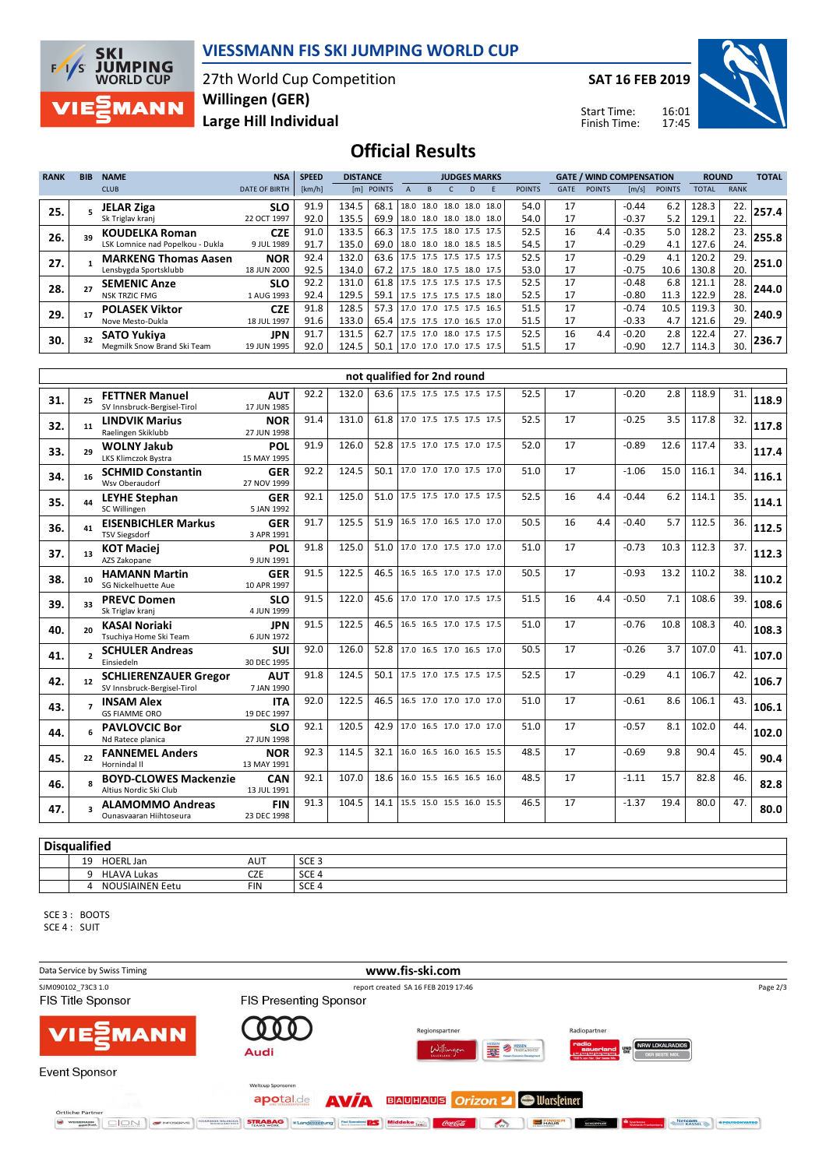

### **VIESSMANN FIS SKI JUMPING WORLD CUP**

27th World Cup Competition **Large Hill Individual Willingen (GER)**

**SAT 16 FEB 2019**



Start Time: Finish Time:

## **Official Results**

| <b>RANK</b> | <b>BIB</b> | <b>NAME</b>                      | <b>NSA</b>           | <b>SPEED</b> | <b>DISTANCE</b> |                               |      |                          |   | <b>JUDGES MARKS</b>      |               |             | <b>GATE / WIND COMPENSATION</b> |                       |               | <b>ROUND</b> |             | <b>TOTAL</b> |
|-------------|------------|----------------------------------|----------------------|--------------|-----------------|-------------------------------|------|--------------------------|---|--------------------------|---------------|-------------|---------------------------------|-----------------------|---------------|--------------|-------------|--------------|
|             |            | <b>CLUB</b>                      | <b>DATE OF BIRTH</b> | [km/h]       |                 | [m] POINTS                    |      |                          | D |                          | <b>POINTS</b> | <b>GATE</b> | <b>POINTS</b>                   | $\lfloor m/s \rfloor$ | <b>POINTS</b> | <b>TOTAL</b> | <b>RANK</b> |              |
| 25.         |            | <b>JELAR Ziga</b>                | <b>SLO</b>           | 91.9         | 134.5           | 68.1                          | 18.0 | 18.0                     |   | 18.0 18.0 18.0           | 54.0          | 17          |                                 | $-0.44$               | 6.2           | 128.3        | 22.         | 257.4        |
|             |            | Sk Triglav kranj                 | 22 OCT 1997          | 92.0         | 135.5           | 69.9                          |      | 18.0 18.0 18.0 18.0 18.0 |   |                          | 54.0          | 17          |                                 | $-0.37$               | 5.2           | 129.1        | 22.         |              |
| 26.         |            | <b>KOUDELKA Roman</b>            | <b>CZE</b>           | 91.0         | 133.5           | 66.3                          |      | 17.5 17.5 18.0 17.5 17.5 |   |                          | 52.5          | 16          | 4.4                             | $-0.35$               | 5.0           | 128.2        | 23.         | 255.8        |
|             |            | LSK Lomnice nad Popelkou - Dukla | 9 JUL 1989           | 91.7         | 135.0           | 69.0                          |      | 18.0 18.0 18.0 18.5 18.5 |   |                          | 54.5          | 17          |                                 | $-0.29$               | 4.1           | 127.6        | 24.         |              |
| 27.         |            | <b>MARKENG Thomas Aasen</b>      | <b>NOR</b>           | 92.4         | 132.0           | 63.6 17.5 17.5 17.5 17.5 17.5 |      |                          |   |                          | 52.5          | 17          |                                 | $-0.29$               | 4.1           | 120.2        | 29.         | 251.0        |
|             |            | Lensbygda Sportsklubb            | 18 JUN 2000          | 92.5         | 134.0           | 67.2                          |      | 17.5 18.0 17.5 18.0 17.5 |   |                          | 53.0          | 17          |                                 | $-0.75$               | 10.6          | 130.8        | 20.         |              |
| 28.         |            | <b>SEMENIC Anze</b>              | <b>SLO</b>           | 92.2         | 131.0           | 61.8                          |      |                          |   | 17.5 17.5 17.5 17.5 17.5 | 52.5          | 17          |                                 | $-0.48$               | 6.8           | 121.1        | 28.         | 244.0        |
|             |            | <b>NSK TRZIC FMG</b>             | 1 AUG 1993           | 92.4         | 129.5           | 59.1                          |      | 17.5 17.5 17.5 17.5 18.0 |   |                          | 52.5          | 17          |                                 | $-0.80$               | 11.3          | 122.9        | 28.         |              |
| 29.         |            | <b>POLASEK Viktor</b>            | <b>CZE</b>           | 91.8         | 128.5           | 57.3                          |      |                          |   | 17.0 17.0 17.5 17.5 16.5 | 51.5          | 17          |                                 | $-0.74$               | 10.5          | 119.3        | 30.         | 240.9        |
|             |            | Nove Mesto-Dukla                 | 18 JUL 1997          | 91.6         | 133.0           | 65.4                          |      | 17.5 17.5 17.0 16.5 17.0 |   |                          | 51.5          | 17          |                                 | $-0.33$               | 4.7           | 121.6        | 29.         |              |
| 30.         |            | <b>SATO Yukiva</b>               | <b>JPN</b>           | 91.7         | 131.5           | 62.7                          | 17.5 | 17.0                     |   | 18.0 17.5 17.5           | 52.5          | 16          | 4.4                             | $-0.20$               | 2.8           | 122.4        | 27.         | 236.7        |
|             |            | Megmilk Snow Brand Ski Team      | 19 JUN 1995          | 92.0         | 124.5           | 50.1                          |      |                          |   | 17.0 17.0 17.0 17.5 17.5 | 51.5          | 17          |                                 | $-0.90$               | 12.7          | 114.3        | 30.         |              |

|     | not qualified for 2nd round |                                                             |                           |      |       |      |                               |  |      |    |     |         |      |       |     |       |
|-----|-----------------------------|-------------------------------------------------------------|---------------------------|------|-------|------|-------------------------------|--|------|----|-----|---------|------|-------|-----|-------|
| 31. | 25                          | <b>FETTNER Manuel</b><br>SV Innsbruck-Bergisel-Tirol        | <b>AUT</b><br>17 JUN 1985 | 92.2 | 132.0 |      | 63.6 17.5 17.5 17.5 17.5 17.5 |  | 52.5 | 17 |     | $-0.20$ | 2.8  | 118.9 | 31. | 118.9 |
| 32. | 11                          | <b>LINDVIK Marius</b><br>Raelingen Skiklubb                 | <b>NOR</b><br>27 JUN 1998 | 91.4 | 131.0 |      | 61.8 17.0 17.5 17.5 17.5 17.5 |  | 52.5 | 17 |     | $-0.25$ | 3.5  | 117.8 | 32. | 117.8 |
| 33. | 29                          | <b>WOLNY Jakub</b><br>LKS Klimczok Bystra                   | POL<br>15 MAY 1995        | 91.9 | 126.0 | 52.8 | 17.5 17.0 17.5 17.0 17.5      |  | 52.0 | 17 |     | $-0.89$ | 12.6 | 117.4 | 33. | 117.4 |
| 34. | 16                          | <b>SCHMID Constantin</b><br>Wsy Oberaudorf                  | <b>GER</b><br>27 NOV 1999 | 92.2 | 124.5 | 50.1 | 17.0 17.0 17.0 17.5 17.0      |  | 51.0 | 17 |     | $-1.06$ | 15.0 | 116.1 | 34. | 116.1 |
| 35. | 44                          | <b>LEYHE Stephan</b><br>SC Willingen                        | <b>GER</b><br>5 JAN 1992  | 92.1 | 125.0 | 51.0 | 17.5 17.5 17.0 17.5 17.5      |  | 52.5 | 16 | 4.4 | $-0.44$ | 6.2  | 114.1 | 35. | 114.1 |
| 36. | 41                          | <b>EISENBICHLER Markus</b><br><b>TSV Siegsdorf</b>          | <b>GER</b><br>3 APR 1991  | 91.7 | 125.5 | 51.9 | 16.5 17.0 16.5 17.0 17.0      |  | 50.5 | 16 | 4.4 | $-0.40$ | 5.7  | 112.5 | 36. | 112.5 |
| 37. | 13                          | <b>KOT Maciei</b><br>AZS Zakopane                           | POL<br>9 JUN 1991         | 91.8 | 125.0 | 51.0 | 17.0 17.0 17.5 17.0 17.0      |  | 51.0 | 17 |     | $-0.73$ | 10.3 | 112.3 | 37. | 112.3 |
| 38. | 10 <sup>1</sup>             | <b>HAMANN Martin</b><br>SG Nickelhuette Aue                 | <b>GER</b><br>10 APR 1997 | 91.5 | 122.5 | 46.5 | 16.5 16.5 17.0 17.5 17.0      |  | 50.5 | 17 |     | $-0.93$ | 13.2 | 110.2 | 38. | 110.2 |
| 39. | 33                          | <b>PREVC Domen</b><br>Sk Triglav kranj                      | <b>SLO</b><br>4 JUN 1999  | 91.5 | 122.0 | 45.6 | 17.0 17.0 17.0 17.5 17.5      |  | 51.5 | 16 | 4.4 | $-0.50$ | 7.1  | 108.6 | 39. | 108.6 |
| 40. | 20                          | <b>KASAI Noriaki</b><br>Tsuchiya Home Ski Team              | <b>JPN</b><br>6 JUN 1972  | 91.5 | 122.5 | 46.5 | 16.5 16.5 17.0 17.5 17.5      |  | 51.0 | 17 |     | $-0.76$ | 10.8 | 108.3 | 40. | 108.3 |
| 41. | $\overline{\phantom{a}}$    | <b>SCHULER Andreas</b><br>Einsiedeln                        | <b>SUI</b><br>30 DEC 1995 | 92.0 | 126.0 | 52.8 | 17.0 16.5 17.0 16.5 17.0      |  | 50.5 | 17 |     | $-0.26$ | 3.7  | 107.0 | 41. | 107.0 |
| 42. | 12                          | <b>SCHLIERENZAUER Gregor</b><br>SV Innsbruck-Bergisel-Tirol | <b>AUT</b><br>7 JAN 1990  | 91.8 | 124.5 | 50.1 | 17.5 17.0 17.5 17.5 17.5      |  | 52.5 | 17 |     | $-0.29$ | 4.1  | 106.7 | 42. | 106.7 |
| 43. |                             | <b>INSAM Alex</b><br><b>GS FIAMME ORO</b>                   | <b>ITA</b><br>19 DEC 1997 | 92.0 | 122.5 | 46.5 | 16.5 17.0 17.0 17.0 17.0      |  | 51.0 | 17 |     | $-0.61$ | 8.6  | 106.1 | 43. | 106.1 |
| 44. |                             | <b>PAVLOVCIC Bor</b><br>Nd Ratece planica                   | <b>SLO</b><br>27 JUN 1998 | 92.1 | 120.5 | 42.9 | 17.0 16.5 17.0 17.0 17.0      |  | 51.0 | 17 |     | $-0.57$ | 8.1  | 102.0 | 44. | 102.0 |
| 45. | 22                          | <b>FANNEMEL Anders</b><br>Hornindal II                      | <b>NOR</b><br>13 MAY 1991 | 92.3 | 114.5 | 32.1 | 16.0 16.5 16.0 16.5 15.5      |  | 48.5 | 17 |     | $-0.69$ | 9.8  | 90.4  | 45. | 90.4  |
| 46. |                             | <b>BOYD-CLOWES Mackenzie</b><br>Altius Nordic Ski Club      | <b>CAN</b><br>13 JUL 1991 | 92.1 | 107.0 | 18.6 | 16.0 15.5 16.5 16.5 16.0      |  | 48.5 | 17 |     | $-1.11$ | 15.7 | 82.8  | 46. | 82.8  |
| 47. |                             | <b>ALAMOMMO Andreas</b><br>Ounasyaaran Hiihtoseura          | <b>FIN</b><br>23 DEC 1998 | 91.3 | 104.5 | 14.1 | 15.5 15.0 15.5 16.0 15.5      |  | 46.5 | 17 |     | $-1.37$ | 19.4 | 80.0  | 47. | 80.0  |

#### **Disqualified** 19 HOERL Jan AUT SCE 3 9 HLAVA Lukas CZE SCE 4 4 NOUSIAINEN Eetu FIN SCE 4

SCE 3 : BOOTS

SCE 4 : SUIT